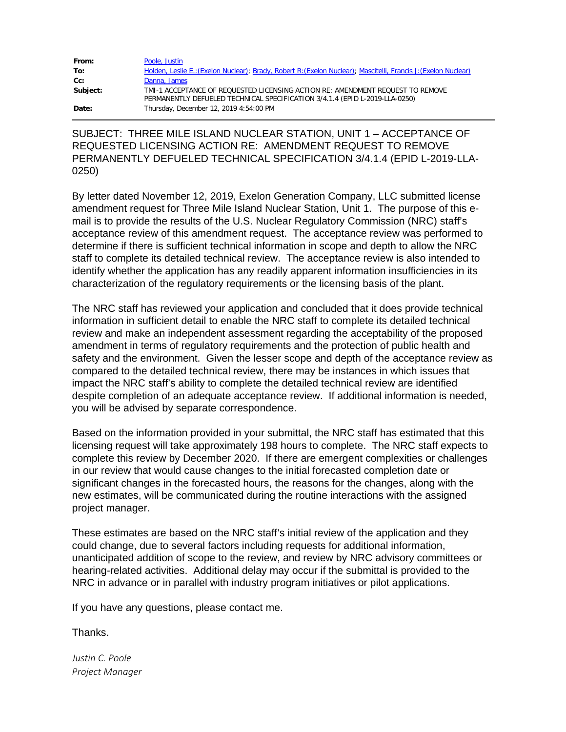| From:    | Poole, Justin                                                                                                                                                 |
|----------|---------------------------------------------------------------------------------------------------------------------------------------------------------------|
| To:      | Holden, Leslie E.: (Exelon Nuclear); Brady, Robert R: (Exelon Nuclear); Mascitelli, Francis J: (Exelon Nuclear)                                               |
| $Cc$ :   | Danna, James                                                                                                                                                  |
| Subject: | TMI-1 ACCEPTANCE OF REQUESTED LICENSING ACTION RE: AMENDMENT REQUEST TO REMOVE<br>PERMANENTLY DEFUELED TECHNICAL SPECIFICATION 3/4.1.4 (EPID L-2019-LLA-0250) |
| Date:    | Thursday, December 12, 2019 4:54:00 PM                                                                                                                        |

SUBJECT: THREE MILE ISLAND NUCLEAR STATION, UNIT 1 – ACCEPTANCE OF REQUESTED LICENSING ACTION RE: AMENDMENT REQUEST TO REMOVE PERMANENTLY DEFUELED TECHNICAL SPECIFICATION 3/4.1.4 (EPID L-2019-LLA-0250)

By letter dated November 12, 2019, Exelon Generation Company, LLC submitted license amendment request for Three Mile Island Nuclear Station, Unit 1. The purpose of this email is to provide the results of the U.S. Nuclear Regulatory Commission (NRC) staff's acceptance review of this amendment request. The acceptance review was performed to determine if there is sufficient technical information in scope and depth to allow the NRC staff to complete its detailed technical review. The acceptance review is also intended to identify whether the application has any readily apparent information insufficiencies in its characterization of the regulatory requirements or the licensing basis of the plant.

The NRC staff has reviewed your application and concluded that it does provide technical information in sufficient detail to enable the NRC staff to complete its detailed technical review and make an independent assessment regarding the acceptability of the proposed amendment in terms of regulatory requirements and the protection of public health and safety and the environment. Given the lesser scope and depth of the acceptance review as compared to the detailed technical review, there may be instances in which issues that impact the NRC staff's ability to complete the detailed technical review are identified despite completion of an adequate acceptance review. If additional information is needed, you will be advised by separate correspondence.

Based on the information provided in your submittal, the NRC staff has estimated that this licensing request will take approximately 198 hours to complete. The NRC staff expects to complete this review by December 2020. If there are emergent complexities or challenges in our review that would cause changes to the initial forecasted completion date or significant changes in the forecasted hours, the reasons for the changes, along with the new estimates, will be communicated during the routine interactions with the assigned project manager.

These estimates are based on the NRC staff's initial review of the application and they could change, due to several factors including requests for additional information, unanticipated addition of scope to the review, and review by NRC advisory committees or hearing-related activities. Additional delay may occur if the submittal is provided to the NRC in advance or in parallel with industry program initiatives or pilot applications.

If you have any questions, please contact me.

**Thanks** 

*Justin C. Poole Project Manager*